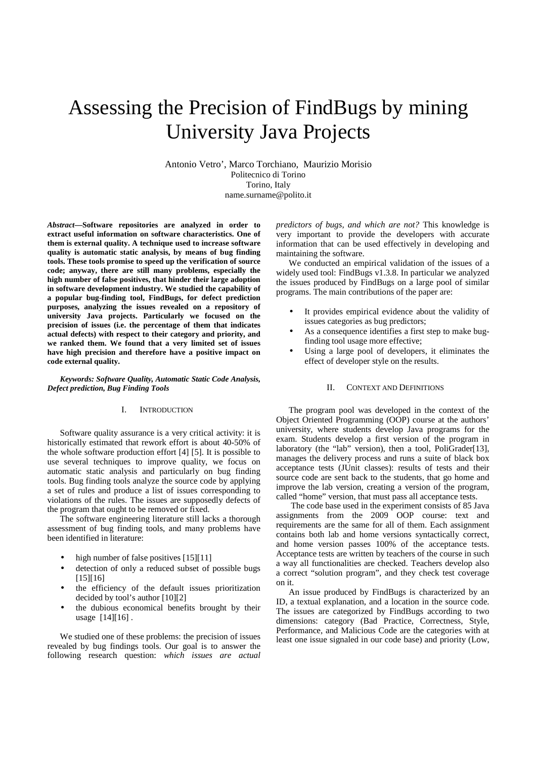# Assessing the Precision of FindBugs by mining University Java Projects

Antonio Vetro', Marco Torchiano, Maurizio Morisio Politecnico di Torino Torino, Italy name.surname@polito.it

*Abstract***—Software repositories are analyzed in order to extract useful information on software characteristics. One of them is external quality. A technique used to increase software quality is automatic static analysis, by means of bug finding tools. These tools promise to speed up the verification of source code; anyway, there are still many problems, especially the high number of false positives, that hinder their large adoption in software development industry. We studied the capability of a popular bug-finding tool, FindBugs, for defect prediction purposes, analyzing the issues revealed on a repository of university Java projects. Particularly we focused on the precision of issues (i.e. the percentage of them that indicates actual defects) with respect to their category and priority, and we ranked them. We found that a very limited set of issues have high precision and therefore have a positive impact on code external quality.** 

*Keywords: Software Quality, Automatic Static Code Analysis, Defect prediction, Bug Finding Tools* 

# I. INTRODUCTION

Software quality assurance is a very critical activity: it is historically estimated that rework effort is about 40-50% of the whole software production effort [4] [5]. It is possible to use several techniques to improve quality, we focus on automatic static analysis and particularly on bug finding tools. Bug finding tools analyze the source code by applying a set of rules and produce a list of issues corresponding to violations of the rules. The issues are supposedly defects of the program that ought to be removed or fixed.

The software engineering literature still lacks a thorough assessment of bug finding tools, and many problems have been identified in literature:

- high number of false positives  $[15][11]$
- detection of only a reduced subset of possible bugs [15][16]
- the efficiency of the default issues prioritization decided by tool's author [10][2]
- the dubious economical benefits brought by their usage [14][16] .

We studied one of these problems: the precision of issues revealed by bug findings tools. Our goal is to answer the following research question: *which issues are actual*  *predictors of bugs, and which are not?* This knowledge is very important to provide the developers with accurate information that can be used effectively in developing and maintaining the software.

We conducted an empirical validation of the issues of a widely used tool: FindBugs v1.3.8. In particular we analyzed the issues produced by FindBugs on a large pool of similar programs. The main contributions of the paper are:

- It provides empirical evidence about the validity of issues categories as bug predictors;
- As a consequence identifies a first step to make bugfinding tool usage more effective;
- Using a large pool of developers, it eliminates the effect of developer style on the results.

## II. CONTEXT AND DEFINITIONS

The program pool was developed in the context of the Object Oriented Programming (OOP) course at the authors' university, where students develop Java programs for the exam. Students develop a first version of the program in laboratory (the "lab" version), then a tool, PoliGrader[13], manages the delivery process and runs a suite of black box acceptance tests (JUnit classes): results of tests and their source code are sent back to the students, that go home and improve the lab version, creating a version of the program, called "home" version, that must pass all acceptance tests.

 The code base used in the experiment consists of 85 Java assignments from the 2009 OOP course: text and requirements are the same for all of them. Each assignment contains both lab and home versions syntactically correct, and home version passes 100% of the acceptance tests. Acceptance tests are written by teachers of the course in such a way all functionalities are checked. Teachers develop also a correct "solution program", and they check test coverage on it.

An issue produced by FindBugs is characterized by an ID, a textual explanation, and a location in the source code. The issues are categorized by FindBugs according to two dimensions: category (Bad Practice, Correctness, Style, Performance, and Malicious Code are the categories with at least one issue signaled in our code base) and priority (Low,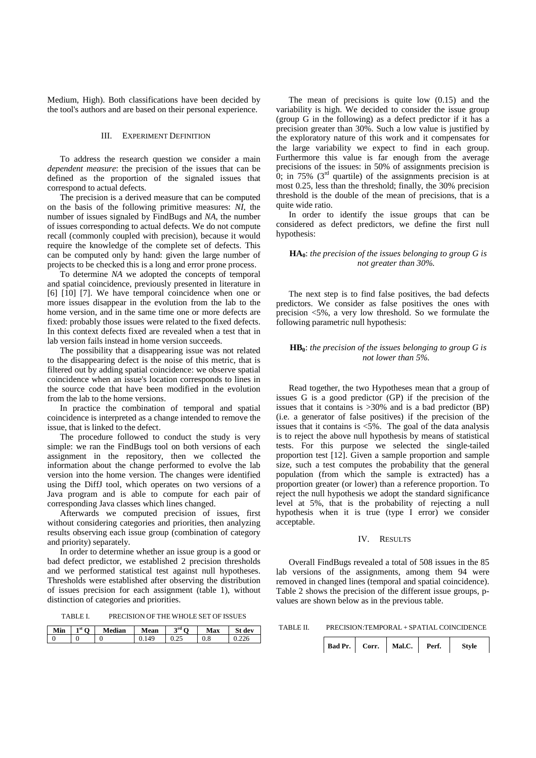Medium, High). Both classifications have been decided by the tool's authors and are based on their personal experience.

# III. EXPERIMENT DEFINITION

To address the research question we consider a main *dependent measure*: the precision of the issues that can be defined as the proportion of the signaled issues that correspond to actual defects.

The precision is a derived measure that can be computed on the basis of the following primitive measures: *NI*, the number of issues signaled by FindBugs and *NA*, the number of issues corresponding to actual defects. We do not compute recall (commonly coupled with precision), because it would require the knowledge of the complete set of defects. This can be computed only by hand: given the large number of projects to be checked this is a long and error prone process.

To determine *NA* we adopted the concepts of temporal and spatial coincidence, previously presented in literature in [6] [10] [7]. We have temporal coincidence when one or more issues disappear in the evolution from the lab to the home version, and in the same time one or more defects are fixed: probably those issues were related to the fixed defects. In this context defects fixed are revealed when a test that in lab version fails instead in home version succeeds.

The possibility that a disappearing issue was not related to the disappearing defect is the noise of this metric, that is filtered out by adding spatial coincidence: we observe spatial coincidence when an issue's location corresponds to lines in the source code that have been modified in the evolution from the lab to the home versions.

In practice the combination of temporal and spatial coincidence is interpreted as a change intended to remove the issue, that is linked to the defect.

The procedure followed to conduct the study is very simple: we ran the FindBugs tool on both versions of each assignment in the repository, then we collected the information about the change performed to evolve the lab version into the home version. The changes were identified using the DiffJ tool, which operates on two versions of a Java program and is able to compute for each pair of corresponding Java classes which lines changed.

Afterwards we computed precision of issues, first without considering categories and priorities, then analyzing results observing each issue group (combination of category and priority) separately.

In order to determine whether an issue group is a good or bad defect predictor, we established 2 precision thresholds and we performed statistical test against null hypotheses. Thresholds were established after observing the distribution of issues precision for each assignment (table 1), without distinction of categories and priorities.

TABLE I. PRECISION OF THE WHOLE SET OF ISSUES

| <br>Min | 1st $\Omega$<br>ີ | <b>Median</b> | Mean | →rd<br>$\sim$<br>ັ | Max | dev   |
|---------|-------------------|---------------|------|--------------------|-----|-------|
| u       | ບ                 | u             |      | ∪.∠J               | v.o | v.∠∠u |

The mean of precisions is quite low (0.15) and the variability is high. We decided to consider the issue group (group G in the following) as a defect predictor if it has a precision greater than 30%. Such a low value is justified by the exploratory nature of this work and it compensates for the large variability we expect to find in each group. Furthermore this value is far enough from the average precisions of the issues: in 50% of assignments precision is 0; in 75%  $(3<sup>rd</sup>$  quartile) of the assignments precision is at most 0.25, less than the threshold; finally, the 30% precision threshold is the double of the mean of precisions, that is a quite wide ratio.

In order to identify the issue groups that can be considered as defect predictors, we define the first null hypothesis:

# **HA0**: *the precision of the issues belonging to group G is not greater than 30%.*

The next step is to find false positives, the bad defects predictors. We consider as false positives the ones with precision <5%, a very low threshold. So we formulate the following parametric null hypothesis:

# **HB0**: *the precision of the issues belonging to group G is not lower than 5%.*

Read together, the two Hypotheses mean that a group of issues G is a good predictor (GP) if the precision of the issues that it contains is >30% and is a bad predictor (BP) (i.e. a generator of false positives) if the precision of the issues that it contains is <5%. The goal of the data analysis is to reject the above null hypothesis by means of statistical tests. For this purpose we selected the single-tailed proportion test [12]. Given a sample proportion and sample size, such a test computes the probability that the general population (from which the sample is extracted) has a proportion greater (or lower) than a reference proportion. To reject the null hypothesis we adopt the standard significance level at 5%, that is the probability of rejecting a null hypothesis when it is true (type I error) we consider acceptable.

#### IV. RESULTS

Overall FindBugs revealed a total of 508 issues in the 85 lab versions of the assignments, among them 94 were removed in changed lines (temporal and spatial coincidence). Table 2 shows the precision of the different issue groups, pvalues are shown below as in the previous table.

TABLE II. PRECISION:TEMPORAL + SPATIAL COINCIDENCE

|  |  |  | Bad Pr.   Corr.   Mal.C. | Perf. | <b>Style</b> |  |
|--|--|--|--------------------------|-------|--------------|--|
|--|--|--|--------------------------|-------|--------------|--|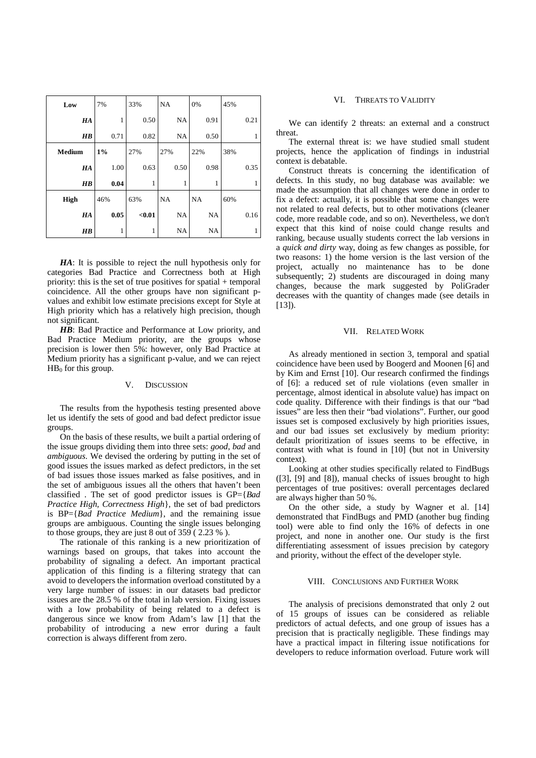| Low                            | 7%   | 33%    | <b>NA</b> | 0%        | 45%  |
|--------------------------------|------|--------|-----------|-----------|------|
| HA                             | 1    | 0.50   | <b>NA</b> | 0.91      | 0.21 |
| $\boldsymbol{H}\boldsymbol{B}$ | 0.71 | 0.82   | NA        | 0.50      | 1    |
| <b>Medium</b>                  | 1%   | 27%    | 27%       | 22%       | 38%  |
| HA                             | 1.00 | 0.63   | 0.50      | 0.98      | 0.35 |
| H B                            | 0.04 | 1      | 1         | 1         | 1    |
| <b>High</b>                    | 46%  | 63%    | <b>NA</b> | NA        | 60%  |
| HA                             | 0.05 | < 0.01 | <b>NA</b> | <b>NA</b> | 0.16 |
| HВ                             | 1    |        | NA        | NA        |      |

*HA*: It is possible to reject the null hypothesis only for categories Bad Practice and Correctness both at High priority: this is the set of true positives for spatial + temporal coincidence. All the other groups have non significant pvalues and exhibit low estimate precisions except for Style at High priority which has a relatively high precision, though not significant.

*HB*: Bad Practice and Performance at Low priority, and Bad Practice Medium priority, are the groups whose precision is lower then 5%: however, only Bad Practice at Medium priority has a significant p-value, and we can reject  $HB<sub>0</sub>$  for this group.

#### V. DISCUSSION

The results from the hypothesis testing presented above let us identify the sets of good and bad defect predictor issue groups.

On the basis of these results, we built a partial ordering of the issue groups dividing them into three sets: *good*, *bad* and *ambiguous*. We devised the ordering by putting in the set of good issues the issues marked as defect predictors, in the set of bad issues those issues marked as false positives, and in the set of ambiguous issues all the others that haven't been classified . The set of good predictor issues is GP={*Bad Practice High, Correctness High*}, the set of bad predictors is BP={*Bad Practice Medium*}, and the remaining issue groups are ambiguous. Counting the single issues belonging to those groups, they are just 8 out of 359 ( 2.23 % ).

The rationale of this ranking is a new prioritization of warnings based on groups, that takes into account the probability of signaling a defect. An important practical application of this finding is a filtering strategy that can avoid to developers the information overload constituted by a very large number of issues: in our datasets bad predictor issues are the 28.5 % of the total in lab version. Fixing issues with a low probability of being related to a defect is dangerous since we know from Adam's law [1] that the probability of introducing a new error during a fault correction is always different from zero.

## VI. THREATS TO VALIDITY

We can identify 2 threats: an external and a construct threat.

The external threat is: we have studied small student projects, hence the application of findings in industrial context is debatable.

Construct threats is concerning the identification of defects. In this study, no bug database was available: we made the assumption that all changes were done in order to fix a defect: actually, it is possible that some changes were not related to real defects, but to other motivations (cleaner code, more readable code, and so on). Nevertheless, we don't expect that this kind of noise could change results and ranking, because usually students correct the lab versions in a *quick and dirty* way, doing as few changes as possible, for two reasons: 1) the home version is the last version of the project, actually no maintenance has to be done subsequently; 2) students are discouraged in doing many changes, because the mark suggested by PoliGrader decreases with the quantity of changes made (see details in  $[13]$ .

#### VII. RELATED WORK

As already mentioned in section 3, temporal and spatial coincidence have been used by Boogerd and Moonen [6] and by Kim and Ernst [10]. Our research confirmed the findings of [6]: a reduced set of rule violations (even smaller in percentage, almost identical in absolute value) has impact on code quality. Difference with their findings is that our "bad issues" are less then their "bad violations". Further, our good issues set is composed exclusively by high priorities issues, and our bad issues set exclusively by medium priority: default prioritization of issues seems to be effective, in contrast with what is found in [10] (but not in University context).

Looking at other studies specifically related to FindBugs ([3], [9] and [8]), manual checks of issues brought to high percentages of true positives: overall percentages declared are always higher than 50 %.

On the other side, a study by Wagner et al. [14] demonstrated that FindBugs and PMD (another bug finding tool) were able to find only the 16% of defects in one project, and none in another one. Our study is the first differentiating assessment of issues precision by category and priority, without the effect of the developer style.

## VIII. CONCLUSIONS AND FURTHER WORK

The analysis of precisions demonstrated that only 2 out of 15 groups of issues can be considered as reliable predictors of actual defects, and one group of issues has a precision that is practically negligible. These findings may have a practical impact in filtering issue notifications for developers to reduce information overload. Future work will